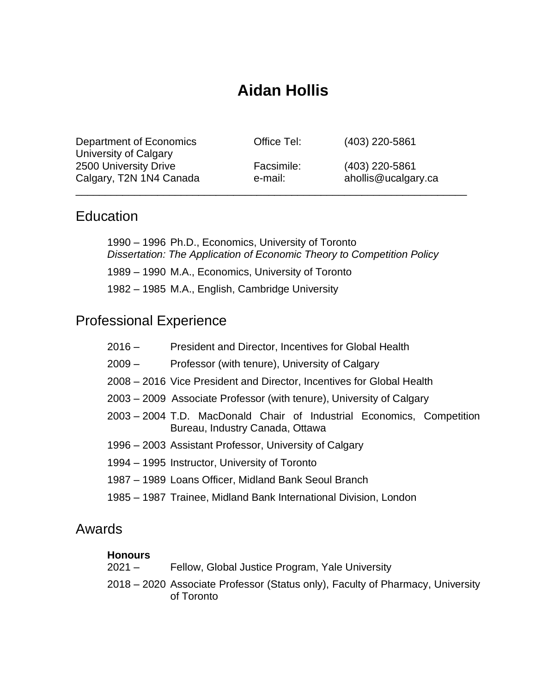# **Aidan Hollis**

| Department of Economics<br>University of Calgary | Office Tel: | (403) 220-5861      |
|--------------------------------------------------|-------------|---------------------|
| 2500 University Drive                            | Facsimile:  | (403) 220-5861      |
| Calgary, T2N 1N4 Canada                          | e-mail:     | ahollis@ucalgary.ca |

### **Education**

1990 – 1996 Ph.D., Economics, University of Toronto *Dissertation: The Application of Economic Theory to Competition Policy* 1989 – 1990 M.A., Economics, University of Toronto 1982 – 1985 M.A., English, Cambridge University

## Professional Experience

| 2016 – | President and Director, Incentives for Global Health                                                     |  |
|--------|----------------------------------------------------------------------------------------------------------|--|
| 2009 – | Professor (with tenure), University of Calgary                                                           |  |
|        | 2008 – 2016 Vice President and Director, Incentives for Global Health                                    |  |
|        | 2003 – 2009 Associate Professor (with tenure), University of Calgary                                     |  |
|        | 2003 – 2004 T.D. MacDonald Chair of Industrial Economics, Competition<br>Bureau, Industry Canada, Ottawa |  |
|        | 1996 – 2003 Assistant Professor, University of Calgary                                                   |  |
|        | 1994 – 1995 Instructor, University of Toronto                                                            |  |
|        | 1987 – 1989 Loans Officer, Midland Bank Seoul Branch                                                     |  |
|        | 1985 – 1987 Trainee, Midland Bank International Division, London                                         |  |

### Awards

#### **Honours**

2021 – Fellow, Global Justice Program, Yale University

2018 – 2020 Associate Professor (Status only), Faculty of Pharmacy, University of Toronto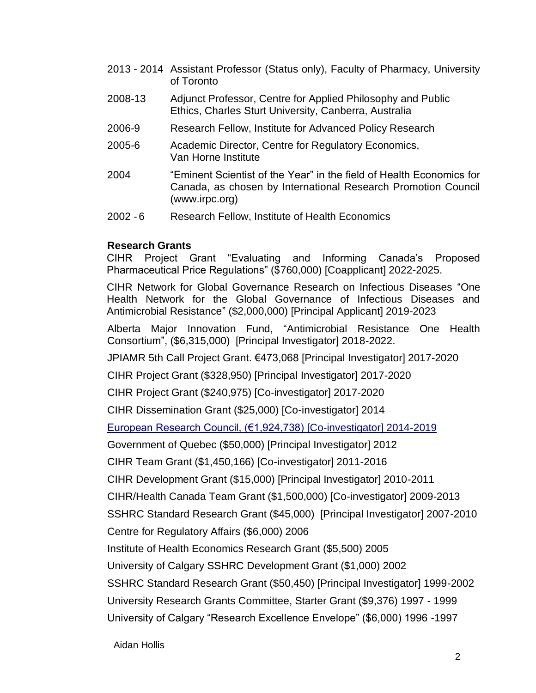- 2013 2014 Assistant Professor (Status only), Faculty of Pharmacy, University of Toronto
- 2008-13 Adjunct Professor, Centre for Applied Philosophy and Public Ethics, Charles Sturt University, Canberra, Australia
- 2006-9 Research Fellow, Institute for Advanced Policy Research
- 2005-6 Academic Director, Centre for Regulatory Economics, Van Horne Institute
- 2004 "Eminent Scientist of the Year" in the field of Health Economics for Canada, as chosen by International Research Promotion Council (www.irpc.org)
- 2002 6 Research Fellow, Institute of Health Economics

#### **Research Grants**

CIHR Project Grant "Evaluating and Informing Canada's Proposed Pharmaceutical Price Regulations" (\$760,000) [Coapplicant] 2022-2025.

CIHR Network for Global Governance Research on Infectious Diseases "One Health Network for the Global Governance of Infectious Diseases and Antimicrobial Resistance" (\$2,000,000) [Principal Applicant] 2019-2023

Alberta Major Innovation Fund, "Antimicrobial Resistance One Health Consortium", (\$6,315,000) [Principal Investigator] 2018-2022.

JPIAMR 5th Call Project Grant. €473,068 [Principal Investigator] 2017-2020

CIHR Project Grant (\$328,950) [Principal Investigator] 2017-2020

CIHR Project Grant (\$240,975) [Co-investigator] 2017-2020

CIHR Dissemination Grant (\$25,000) [Co-investigator] 2014

[European Research Council, \(€1,924,738\) \[Co-investigator\] 2014-2019](http://www.uclan.ac.uk/research/explore/projects/reward.php)

Government of Quebec (\$50,000) [Principal Investigator] 2012

CIHR Team Grant (\$1,450,166) [Co-investigator] 2011-2016

CIHR Development Grant (\$15,000) [Principal Investigator] 2010-2011

CIHR/Health Canada Team Grant (\$1,500,000) [Co-investigator] 2009-2013

SSHRC Standard Research Grant (\$45,000) [Principal Investigator] 2007-2010

Centre for Regulatory Affairs (\$6,000) 2006

Institute of Health Economics Research Grant (\$5,500) 2005

University of Calgary SSHRC Development Grant (\$1,000) 2002

SSHRC Standard Research Grant (\$50,450) [Principal Investigator] 1999-2002

University Research Grants Committee, Starter Grant (\$9,376) 1997 - 1999

University of Calgary "Research Excellence Envelope" (\$6,000) 1996 -1997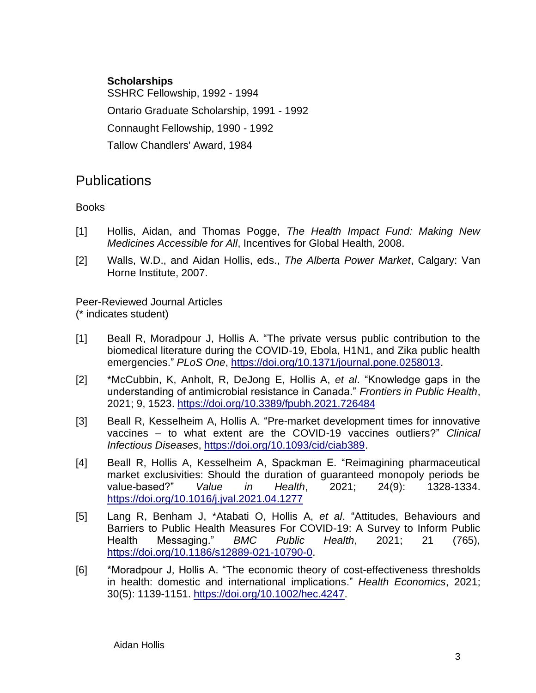#### **Scholarships**

SSHRC Fellowship, 1992 - 1994 Ontario Graduate Scholarship, 1991 - 1992 Connaught Fellowship, 1990 - 1992 Tallow Chandlers' Award, 1984

## **Publications**

Books

- [1] Hollis, Aidan, and Thomas Pogge, *The Health Impact Fund: Making New Medicines Accessible for All*, Incentives for Global Health, 2008.
- [2] Walls, W.D., and Aidan Hollis, eds., *The Alberta Power Market*, Calgary: Van Horne Institute, 2007.

Peer-Reviewed Journal Articles (\* indicates student)

- [1] Beall R, Moradpour J, Hollis A. "The private versus public contribution to the biomedical literature during the COVID-19, Ebola, H1N1, and Zika public health emergencies." *PLoS One*, [https://doi.org/10.1371/journal.pone.0258013.](https://doi.org/10.1371/journal.pone.0258013)
- [2] \*McCubbin, K, Anholt, R, DeJong E, Hollis A, *et al*. "Knowledge gaps in the understanding of antimicrobial resistance in Canada." *Frontiers in Public Health*, 2021; 9, 1523. <https://doi.org/10.3389/fpubh.2021.726484>
- [3] Beall R, Kesselheim A, Hollis A. "Pre-market development times for innovative vaccines – to what extent are the COVID-19 vaccines outliers?" *Clinical Infectious Diseases*, [https://doi.org/10.1093/cid/ciab389.](https://doi.org/10.1093/cid/ciab389)
- [4] Beall R, Hollis A, Kesselheim A, Spackman E. "Reimagining pharmaceutical market exclusivities: Should the duration of guaranteed monopoly periods be value-based?" *Value in Health*, 2021; 24(9): 1328-1334. <https://doi.org/10.1016/j.jval.2021.04.1277>
- [5] Lang R, Benham J, \*Atabati O, Hollis A, *et al*. "Attitudes, Behaviours and Barriers to Public Health Measures For COVID-19: A Survey to Inform Public Health Messaging." *BMC Public Health*, 2021; 21 (765), [https://doi.org/10.1186/s12889-021-10790-0.](https://doi.org/10.1186/s12889-021-10790-0)
- [6] \*Moradpour J, Hollis A. "The economic theory of cost-effectiveness thresholds in health: domestic and international implications." *Health Economics*, 2021; 30(5): 1139-1151. [https://doi.org/10.1002/hec.4247.](https://doi.org/10.1002/hec.4247)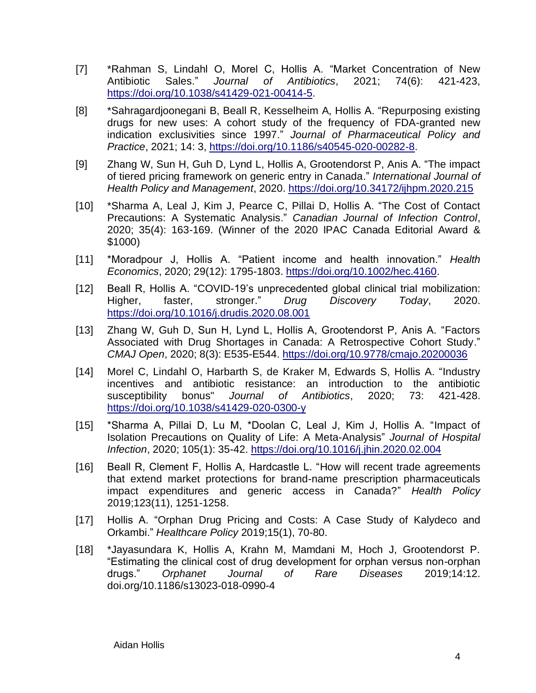- [7] \*Rahman S, Lindahl O, Morel C, Hollis A. "Market Concentration of New Antibiotic Sales." *Journal of Antibiotics*, 2021; 74(6): 421-423, [https://doi.org/10.1038/s41429-021-00414-5.](https://doi.org/10.1038/s41429-021-00414-5)
- [8] \*Sahragardjoonegani B, Beall R, Kesselheim A, Hollis A. "Repurposing existing drugs for new uses: A cohort study of the frequency of FDA-granted new indication exclusivities since 1997." *Journal of Pharmaceutical Policy and Practice*, 2021; 14: 3, [https://doi.org/10.1186/s40545-020-00282-8.](https://doi.org/10.1186/s40545-020-00282-8)
- [9] Zhang W, Sun H, Guh D, Lynd L, Hollis A, Grootendorst P, Anis A. "The impact of tiered pricing framework on generic entry in Canada." *International Journal of Health Policy and Management*, 2020.<https://doi.org/10.34172/ijhpm.2020.215>
- [10] \*Sharma A, Leal J, Kim J, Pearce C, Pillai D, Hollis A. "The Cost of Contact Precautions: A Systematic Analysis." *Canadian Journal of Infection Control*, 2020; 35(4): 163-169. (Winner of the 2020 IPAC Canada Editorial Award & \$1000)
- [11] \*Moradpour J, Hollis A. "Patient income and health innovation." *Health Economics*, 2020; 29(12): 1795-1803. [https://doi.org/10.1002/hec.4160.](https://doi.org/10.1002/hec.4160)
- [12] Beall R, Hollis A. "COVID-19's unprecedented global clinical trial mobilization: Higher, faster, stronger." *Drug Discovery Today*, 2020. <https://doi.org/10.1016/j.drudis.2020.08.001>
- [13] Zhang W, Guh D, Sun H, Lynd L, Hollis A, Grootendorst P, Anis A. "Factors Associated with Drug Shortages in Canada: A Retrospective Cohort Study." *CMAJ Open*, 2020; 8(3): E535-E544.<https://doi.org/10.9778/cmajo.20200036>
- [14] Morel C, Lindahl O, Harbarth S, de Kraker M, Edwards S, Hollis A. "Industry incentives and antibiotic resistance: an introduction to the antibiotic susceptibility bonus" *Journal of Antibiotics*, 2020; 73: 421-428. <https://doi.org/10.1038/s41429-020-0300-y>
- [15] \*Sharma A, Pillai D, Lu M, \*Doolan C, Leal J, Kim J, Hollis A. "Impact of Isolation Precautions on Quality of Life: A Meta-Analysis" *Journal of Hospital Infection*, 2020; 105(1): 35-42.<https://doi.org/10.1016/j.jhin.2020.02.004>
- [16] Beall R, Clement F, Hollis A, Hardcastle L. "How will recent trade agreements that extend market protections for brand-name prescription pharmaceuticals impact expenditures and generic access in Canada?" *Health Policy* 2019;123(11), 1251-1258.
- [17] Hollis A. "Orphan Drug Pricing and Costs: A Case Study of Kalydeco and Orkambi." *Healthcare Policy* 2019;15(1), 70-80.
- [18] \*Jayasundara K, Hollis A, Krahn M, Mamdani M, Hoch J, Grootendorst P. "Estimating the clinical cost of drug development for orphan versus non-orphan drugs." *Orphanet Journal of Rare Diseases* 2019;14:12. doi.org/10.1186/s13023-018-0990-4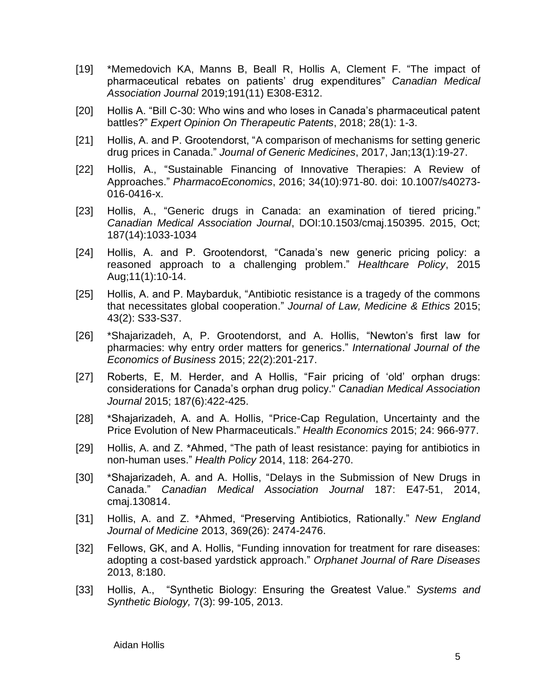- [19] \*Memedovich KA, Manns B, Beall R, Hollis A, Clement F. ["The impact of](http://www.cmaj.ca/content/191/11/E308)  [pharmaceutical rebates on patients' drug expenditures"](http://www.cmaj.ca/content/191/11/E308) *Canadian Medical Association Journal* 2019;191(11) E308-E312.
- [20] Hollis A. "Bill C-30: Who wins and who loses in Canada's pharmaceutical patent battles?" *Expert Opinion On Therapeutic Patents*, 2018; 28(1): 1-3.
- [21] Hollis, A. and P. Grootendorst, "A comparison of mechanisms for setting generic drug prices in Canada." *Journal of Generic Medicines*, 2017, Jan;13(1):19-27.
- [22] Hollis, A., "Sustainable Financing of Innovative Therapies: A Review of Approaches." *PharmacoEconomics*, 2016; 34(10):971-80. doi: 10.1007/s40273- 016-0416-x.
- [23] Hollis, A., "Generic drugs in Canada: an examination of tiered pricing." *Canadian Medical Association Journal*, DOI:10.1503/cmaj.150395. 2015, Oct; 187(14):1033-1034
- [24] Hollis, A. and P. Grootendorst, "Canada's new generic pricing policy: a reasoned approach to a challenging problem." *Healthcare Policy*, 2015 Aug;11(1):10-14.
- [25] Hollis, A. and P. Maybarduk, "Antibiotic resistance is a tragedy of the commons that necessitates global cooperation." *Journal of Law, Medicine & Ethics* 2015; 43(2): S33-S37.
- [26] \*Shajarizadeh, A, P. Grootendorst, and A. Hollis, "Newton's first law for pharmacies: why entry order matters for generics." *International Journal of the Economics of Business* 2015; 22(2):201-217.
- [27] Roberts, E, M. Herder, and A Hollis, "Fair pricing of 'old' orphan drugs: considerations for Canada's orphan drug policy." *Canadian Medical Association Journal* 2015; 187(6):422-425.
- [28] \*Shajarizadeh, A. and A. Hollis, "Price-Cap Regulation, Uncertainty and the Price Evolution of New Pharmaceuticals." *Health Economics* 2015; 24: 966-977.
- [29] Hollis, A. and Z. \*Ahmed, "The path of least resistance: paying for antibiotics in non-human uses." *Health Policy* 2014, 118: 264-270.
- [30] \*Shajarizadeh, A. and A. Hollis, "Delays in the Submission of New Drugs in Canada." *Canadian Medical Association Journal* 187: E47-51, 2014, cmaj.130814.
- [31] Hollis, A. and Z. \*Ahmed, "Preserving Antibiotics, Rationally." *New England Journal of Medicine* 2013, 369(26): 2474-2476.
- [32] Fellows, GK, and A. Hollis, "Funding innovation for treatment for rare diseases: adopting a cost-based yardstick approach." *Orphanet Journal of Rare Diseases* 2013, 8:180.
- [33] Hollis, A., "Synthetic Biology: Ensuring the Greatest Value." *Systems and Synthetic Biology,* 7(3): 99-105, 2013.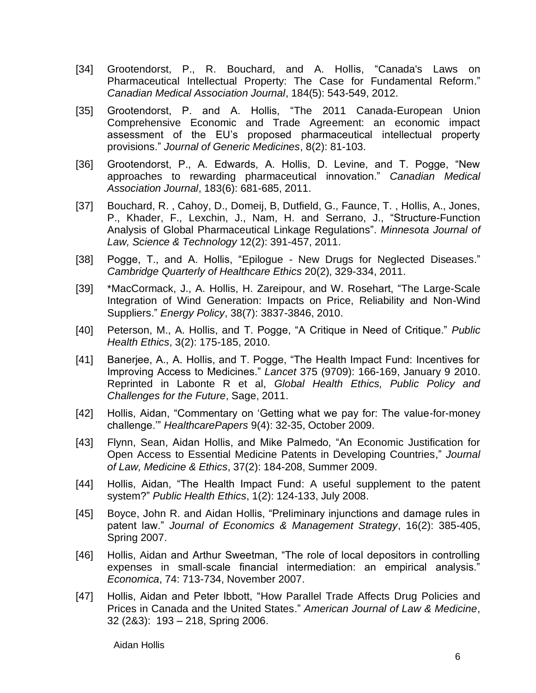- [34] Grootendorst, P., R. Bouchard, and A. Hollis, "Canada's Laws on Pharmaceutical Intellectual Property: The Case for Fundamental Reform." *Canadian Medical Association Journal*, 184(5): 543-549, 2012.
- [35] Grootendorst, P. and A. Hollis, "The 2011 Canada-European Union Comprehensive Economic and Trade Agreement: an economic impact assessment of the EU's proposed pharmaceutical intellectual property provisions." *Journal of Generic Medicines*, 8(2): 81-103.
- [36] Grootendorst, P., A. Edwards, A. Hollis, D. Levine, and T. Pogge, "New approaches to rewarding pharmaceutical innovation." *Canadian Medical Association Journal*, 183(6): 681-685, 2011.
- [37] Bouchard, R. , Cahoy, D., Domeij, B, Dutfield, G., Faunce, T. , Hollis, A., Jones, P., Khader, F., Lexchin, J., Nam, H. and Serrano, J., "Structure-Function Analysis of Global Pharmaceutical Linkage Regulations". *Minnesota Journal of Law, Science & Technology* 12(2): 391-457, 2011.
- [38] Pogge, T., and A. Hollis, "Epilogue New Drugs for Neglected Diseases." *Cambridge Quarterly of Healthcare Ethics* 20(2), 329-334, 2011.
- [39] \*MacCormack, J., A. Hollis, H. Zareipour, and W. Rosehart, "The Large-Scale Integration of Wind Generation: Impacts on Price, Reliability and Non-Wind Suppliers." *Energy Policy*, 38(7): 3837-3846, 2010.
- [40] Peterson, M., A. Hollis, and T. Pogge, "A Critique in Need of Critique." *Public Health Ethics*, 3(2): 175-185, 2010.
- [41] Banerjee, A., A. Hollis, and T. Pogge, "The Health Impact Fund: Incentives for Improving Access to Medicines." *Lancet* 375 (9709): 166-169, January 9 2010. Reprinted in Labonte R et al, *Global Health Ethics, Public Policy and Challenges for the Future*, Sage, 2011.
- [42] Hollis, Aidan, "Commentary on 'Getting what we pay for: The value-for-money challenge.'" *HealthcarePapers* 9(4): 32-35, October 2009.
- [43] Flynn, Sean, Aidan Hollis, and Mike Palmedo, "An Economic Justification for Open Access to Essential Medicine Patents in Developing Countries," *Journal of Law, Medicine & Ethics*, 37(2): 184-208, Summer 2009.
- [44] Hollis, Aidan, "The Health Impact Fund: A useful supplement to the patent system?" *Public Health Ethics*, 1(2): 124-133, July 2008.
- [45] Boyce, John R. and Aidan Hollis, "Preliminary injunctions and damage rules in patent law." *Journal of Economics & Management Strategy*, 16(2): 385-405, Spring 2007.
- [46] Hollis, Aidan and Arthur Sweetman, "The role of local depositors in controlling expenses in small-scale financial intermediation: an empirical analysis." *Economica*, 74: 713-734, November 2007.
- [47] Hollis, Aidan and Peter Ibbott, "How Parallel Trade Affects Drug Policies and Prices in Canada and the United States." *American Journal of Law & Medicine*, 32 (2&3): 193 – 218, Spring 2006.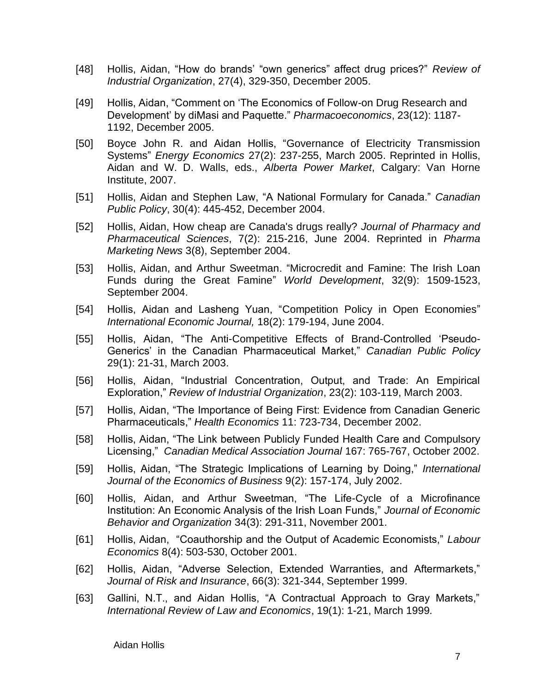- [48] Hollis, Aidan, "How do brands' "own generics" affect drug prices?" *Review of Industrial Organization*, 27(4), 329-350, December 2005.
- [49] Hollis, Aidan, "Comment on 'The Economics of Follow-on Drug Research and Development' by diMasi and Paquette." *Pharmacoeconomics*, 23(12): 1187- 1192, December 2005.
- [50] Boyce John R. and Aidan Hollis, "Governance of Electricity Transmission Systems" *Energy Economics* 27(2): 237-255, March 2005. Reprinted in Hollis, Aidan and W. D. Walls, eds., *Alberta Power Market*, Calgary: Van Horne Institute, 2007.
- [51] Hollis, Aidan and Stephen Law, "A National Formulary for Canada." *Canadian Public Policy*, 30(4): 445-452, December 2004.
- [52] Hollis, Aidan, How cheap are Canada's drugs really? *Journal of Pharmacy and Pharmaceutical Sciences*, 7(2): 215-216, June 2004. Reprinted in *Pharma Marketing News* 3(8), September 2004.
- [53] Hollis, Aidan, and Arthur Sweetman. "Microcredit and Famine: The Irish Loan Funds during the Great Famine" *World Development*, 32(9): 1509-1523, September 2004.
- [54] Hollis, Aidan and Lasheng Yuan, "Competition Policy in Open Economies" *International Economic Journal,* 18(2): 179-194, June 2004.
- [55] Hollis, Aidan, "The Anti-Competitive Effects of Brand-Controlled 'Pseudo-Generics' in the Canadian Pharmaceutical Market," *Canadian Public Policy* 29(1): 21-31, March 2003.
- [56] Hollis, Aidan, "Industrial Concentration, Output, and Trade: An Empirical Exploration," *Review of Industrial Organization*, 23(2): 103-119, March 2003.
- [57] Hollis, Aidan, "The Importance of Being First: Evidence from Canadian Generic Pharmaceuticals," *Health Economics* 11: 723-734, December 2002.
- [58] Hollis, Aidan, "The Link between Publicly Funded Health Care and Compulsory Licensing," *Canadian Medical Association Journal* 167: 765-767, October 2002.
- [59] Hollis, Aidan, "The Strategic Implications of Learning by Doing," *International Journal of the Economics of Business* 9(2): 157-174, July 2002.
- [60] Hollis, Aidan, and Arthur Sweetman, "The Life-Cycle of a Microfinance Institution: An Economic Analysis of the Irish Loan Funds," *Journal of Economic Behavior and Organization* 34(3): 291-311, November 2001.
- [61] Hollis, Aidan, "Coauthorship and the Output of Academic Economists," *Labour Economics* 8(4): 503-530, October 2001.
- [62] Hollis, Aidan, "Adverse Selection, Extended Warranties, and Aftermarkets," *Journal of Risk and Insurance*, 66(3): 321-344, September 1999.
- [63] Gallini, N.T., and Aidan Hollis, "A Contractual Approach to Gray Markets," *International Review of Law and Economics*, 19(1): 1-21, March 1999*.*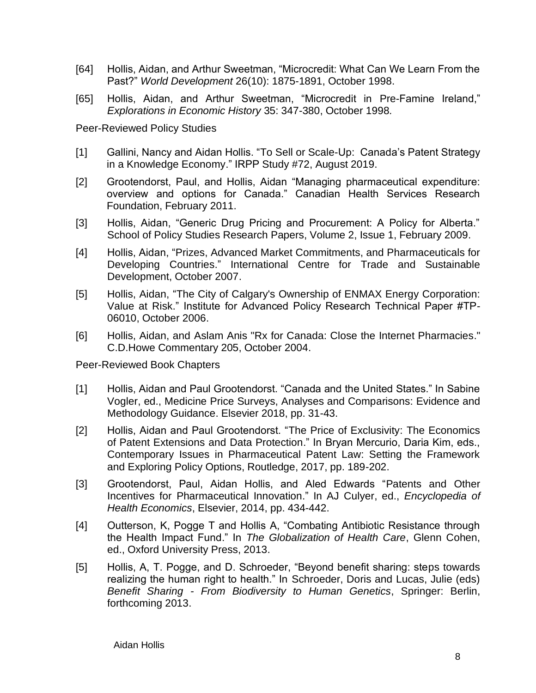- [64] Hollis, Aidan, and Arthur Sweetman, "Microcredit: What Can We Learn From the Past?" *World Development* 26(10): 1875-1891, October 1998.
- [65] Hollis, Aidan, and Arthur Sweetman, "Microcredit in Pre-Famine Ireland," *Explorations in Economic History* 35: 347-380, October 1998*.*

Peer-Reviewed Policy Studies

- [1] Gallini, Nancy and Aidan Hollis. "To Sell or Scale-Up: Canada's Patent Strategy in a Knowledge Economy." IRPP Study #72, August 2019.
- [2] Grootendorst, Paul, and Hollis, Aidan "Managing pharmaceutical expenditure: overview and options for Canada." Canadian Health Services Research Foundation, February 2011.
- [3] Hollis, Aidan, "Generic Drug Pricing and Procurement: A Policy for Alberta." School of Policy Studies Research Papers, Volume 2, Issue 1, February 2009.
- [4] Hollis, Aidan, "Prizes, Advanced Market Commitments, and Pharmaceuticals for Developing Countries." International Centre for Trade and Sustainable Development, October 2007.
- [5] Hollis, Aidan, "The City of Calgary's Ownership of ENMAX Energy Corporation: [Value at Risk.](http://www.iapr.ca/images/stories/pdfs/iapr-tp-06010.pdf)" Institute for Advanced Policy Research Technical Paper #TP-06010, October 2006.
- [6] Hollis, Aidan, and Aslam Anis "Rx for Canada: Close the Internet Pharmacies." C.D.Howe Commentary 205, October 2004.

Peer-Reviewed Book Chapters

- [1] Hollis, Aidan and Paul Grootendorst. "Canada and the United States." In Sabine Vogler, ed., Medicine Price Surveys, Analyses and Comparisons: Evidence and Methodology Guidance. Elsevier 2018, pp. 31-43.
- [2] Hollis, Aidan and Paul Grootendorst. "The Price of Exclusivity: The Economics of Patent Extensions and Data Protection." In Bryan Mercurio, Daria Kim, eds., Contemporary Issues in Pharmaceutical Patent Law: Setting the Framework and Exploring Policy Options, Routledge, 2017, pp. 189-202.
- [3] Grootendorst, Paul, Aidan Hollis, and Aled Edwards "Patents and Other Incentives for Pharmaceutical Innovation." In AJ Culyer, ed., *Encyclopedia of Health Economics*, Elsevier, 2014, pp. 434-442.
- [4] Outterson, K, Pogge T and Hollis A, "Combating Antibiotic Resistance through the Health Impact Fund." In *The Globalization of Health Care*, Glenn Cohen, ed., Oxford University Press, 2013.
- [5] Hollis, A, T. Pogge, and D. Schroeder, "Beyond benefit sharing: steps towards realizing the human right to health." In Schroeder, Doris and Lucas, Julie (eds) *Benefit Sharing - From Biodiversity to Human Genetics*, Springer: Berlin, forthcoming 2013.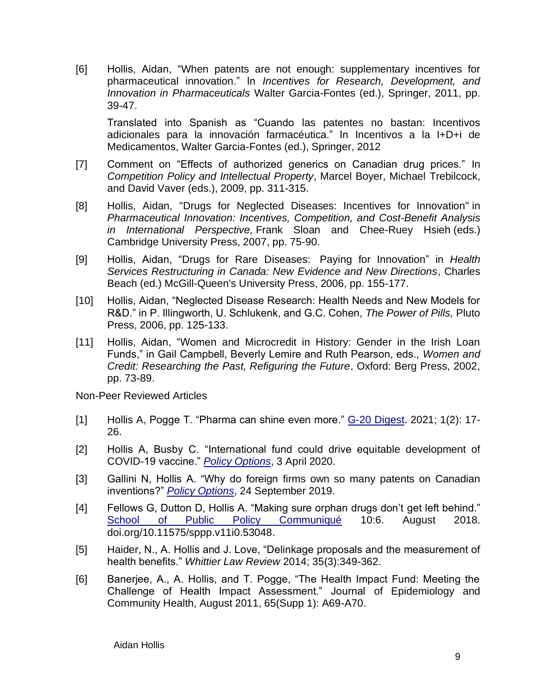[6] Hollis, Aidan, "When patents are not enough: supplementary incentives for pharmaceutical innovation." In *Incentives for Research, Development, and Innovation in Pharmaceuticals* Walter Garcia-Fontes (ed.), Springer, 2011, pp. 39-47.

Translated into Spanish as "Cuando las patentes no bastan: Incentivos adicionales para la innovación farmacéutica." In Incentivos a la I+D+i de Medicamentos, Walter Garcia-Fontes (ed.), Springer, 2012

- [7] Comment on "Effects of authorized generics on Canadian drug prices." In *Competition Policy and Intellectual Property*, Marcel Boyer, Michael Trebilcock, and David Vaver (eds.), 2009, pp. 311-315.
- [8] Hollis, Aidan, "Drugs for Neglected Diseases: Incentives for Innovation" in *Pharmaceutical Innovation: Incentives, Competition, and Cost-Benefit Analysis in International Perspective,* Frank Sloan and Chee-Ruey Hsieh (eds.) Cambridge University Press, 2007, pp. 75-90.
- [9] Hollis, Aidan, "Drugs for Rare Diseases: Paying for Innovation" in *Health Services Restructuring in Canada: New Evidence and New Directions*, Charles Beach (ed.) McGill-Queen's University Press, 2006, pp. 155-177.
- [10] Hollis, Aidan, "Neglected Disease Research: Health Needs and New Models for R&D." in P. Illingworth, U. Schlukenk, and G.C. Cohen, *The Power of Pills,* Pluto Press, 2006, pp. 125-133.
- [11] Hollis, Aidan, "Women and Microcredit in History: Gender in the Irish Loan Funds," in Gail Campbell, Beverly Lemire and Ruth Pearson, eds., *Women and Credit: Researching the Past, Refiguring the Future*, Oxford: Berg Press, 2002, pp. 73-89.

Non-Peer Reviewed Articles

- [1] Hollis A, Pogge T. "Pharma can shine even more."  $G-20$  Digest. 2021; 1(2): 17-26.
- [2] Hollis A, Busby C. "International fund could drive equitable development of COVID-19 vaccine." *[Policy Options](https://policyoptions.irpp.org/magazines/april-2020/international-fund-could-drive-equitable-development-of-covid-19-vaccine/)*, 3 April 2020.
- [3] Gallini N, Hollis A. "Why do foreign firms own so many patents on Canadian inventions?" *[Policy Options](https://irpp.org/fr/op-ed/why-do-foreign-firms-own-so-many-patents-on-canadian-inventions/)*, 24 September 2019.
- [4] Fellows G, Dutton D, Hollis A. "Making sure orphan drugs don't get left behind." [School of Public Policy Communiqué](https://journalhosting.ucalgary.ca/index.php/sppp/article/view/53048) 10:6. August 2018. [doi.org/10.11575/sppp.v11i0.53048.](https://doi.org/10.11575/sppp.v11i0.53048)
- [5] Haider, N., A. Hollis and J. Love, "Delinkage proposals and the measurement of health benefits." *Whittier Law Review* 2014; 35(3):349-362.
- [6] Banerjee, A., A. Hollis, and T. Pogge, "The Health Impact Fund: Meeting the Challenge of Health Impact Assessment." Journal of Epidemiology and Community Health, August 2011, 65(Supp 1): A69-A70.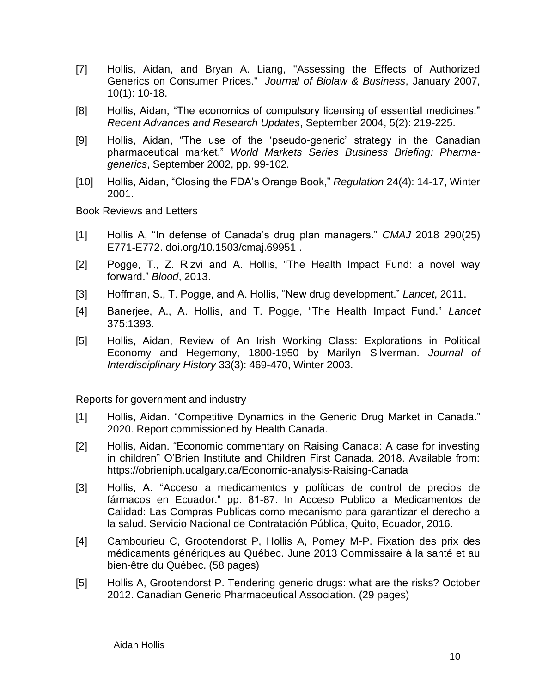- [7] Hollis, Aidan, and Bryan A. Liang, "Assessing the Effects of Authorized Generics on Consumer Prices." *Journal of Biolaw & Business*, January 2007, 10(1): 10-18.
- [8] Hollis, Aidan, "The economics of compulsory licensing of essential medicines." *Recent Advances and Research Updates*, September 2004, 5(2): 219-225.
- [9] Hollis, Aidan, "The use of the 'pseudo-generic' strategy in the Canadian pharmaceutical market." *World Markets Series Business Briefing: Pharmagenerics*, September 2002, pp. 99-102*.*
- [10] Hollis, Aidan, "Closing the FDA's Orange Book," *Regulation* 24(4): 14-17, Winter 2001.

Book Reviews and Letters

- [1] Hollis A, "In defense of Canada's drug plan managers." *CMAJ* 2018 290(25) E771-E772. doi.org/10.1503/cmaj.69951 .
- [2] Pogge, T., Z. Rizvi and A. Hollis, "The Health Impact Fund: a novel way forward." *Blood*, 2013.
- [3] Hoffman, S., T. Pogge, and A. Hollis, "New drug development." *Lancet*, 2011.
- [4] Banerjee, A., A. Hollis, and T. Pogge, "The Health Impact Fund." *Lancet* 375:1393.
- [5] Hollis, Aidan, Review of An Irish Working Class: Explorations in Political Economy and Hegemony, 1800-1950 by Marilyn Silverman. *Journal of Interdisciplinary History* 33(3): 469-470, Winter 2003.

Reports for government and industry

- [1] Hollis, Aidan. "Competitive Dynamics in the Generic Drug Market in Canada." 2020. Report commissioned by Health Canada.
- [2] Hollis, Aidan. "Economic commentary on Raising Canada: A case for investing in children" O'Brien Institute and Children First Canada. 2018. Available from: https://obrieniph.ucalgary.ca/Economic-analysis-Raising-Canada
- [3] Hollis, A. "Acceso a medicamentos y políticas de control de precios de fármacos en Ecuador." pp. 81-87. In Acceso Publico a Medicamentos de Calidad: Las Compras Publicas como mecanismo para garantizar el derecho a la salud. Servicio Nacional de Contratación Pública, Quito, Ecuador, 2016.
- [4] Cambourieu C, Grootendorst P, Hollis A, Pomey M-P. Fixation des prix des médicaments génériques au Québec. June 2013 Commissaire à la santé et au bien-être du Québec. (58 pages)
- [5] Hollis A, Grootendorst P. Tendering generic drugs: what are the risks? October 2012. Canadian Generic Pharmaceutical Association. (29 pages)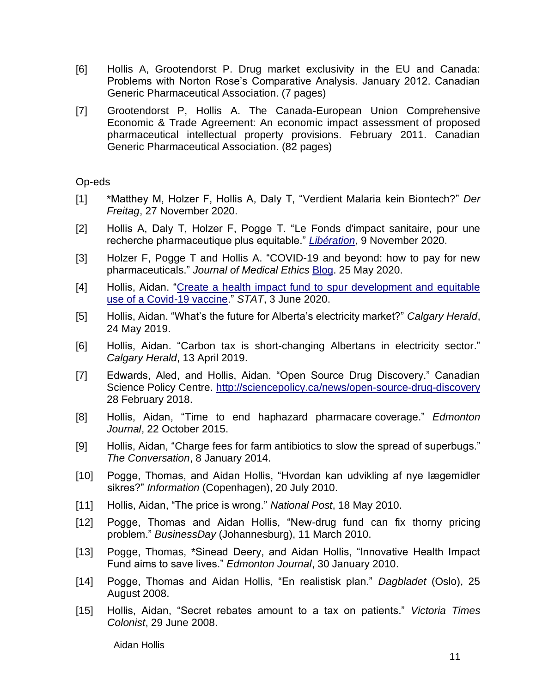- [6] Hollis A, Grootendorst P. Drug market exclusivity in the EU and Canada: Problems with Norton Rose's Comparative Analysis. January 2012. Canadian Generic Pharmaceutical Association. (7 pages)
- [7] Grootendorst P, Hollis A. The Canada-European Union Comprehensive Economic & Trade Agreement: An economic impact assessment of proposed pharmaceutical intellectual property provisions. February 2011. Canadian Generic Pharmaceutical Association. (82 pages)

#### Op-eds

- [1] \*Matthey M, Holzer F, Hollis A, Daly T, "Verdient Malaria kein Biontech?" *Der Freitag*, 27 November 2020.
- [2] Hollis A, Daly T, Holzer F, Pogge T. "Le Fonds d'impact sanitaire, pour une recherche pharmaceutique plus equitable." *[Libération](https://www.liberation.fr/debats/2020/11/09/le-fonds-d-impact-sanitaire-pour-une-recherche-pharmaceutique-plus-equitable_1805063)*, 9 November 2020.
- [3] Holzer F, Pogge T and Hollis A. "COVID-19 and beyond: how to pay for new pharmaceuticals." *Journal of Medical Ethics* [Blog.](https://blogs.bmj.com/medical-ethics/2020/05/25/covid-19-and-beyond-how-to-pay-for-new-pharmaceuticals/) 25 May 2020.
- [4] Hollis, Aidan. "Create a health impact fund to spur development and equitable [use of a Covid-19 vaccine.](https://www.statnews.com/2020/06/03/health-impact-fund-spur-development-equitable-use-covid-19-vaccine/)" *STAT*, 3 June 2020.
- [5] Hollis, Aidan. "What's the future for Alberta's electricity market?" *Calgary Herald*, 24 May 2019.
- [6] Hollis, Aidan. "Carbon tax is short-changing Albertans in electricity sector." *Calgary Herald*, 13 April 2019.
- [7] Edwards, Aled, and Hollis, Aidan. "Open Source Drug Discovery." Canadian Science Policy Centre.<http://sciencepolicy.ca/news/open-source-drug-discovery> 28 February 2018.
- [8] Hollis, Aidan, "Time to end haphazard pharmacare coverage." *Edmonton Journal*, 22 October 2015.
- [9] Hollis, Aidan, "Charge fees for farm antibiotics to slow the spread of superbugs." *The Conversation*, 8 January 2014.
- [10] Pogge, Thomas, and Aidan Hollis, "Hvordan kan udvikling af nye lægemidler sikres?" *Information* (Copenhagen), 20 July 2010.
- [11] Hollis, Aidan, "The price is wrong." *National Post*, 18 May 2010.
- [12] Pogge, Thomas and Aidan Hollis, "New-drug fund can fix thorny pricing problem." *BusinessDay* (Johannesburg), 11 March 2010.
- [13] Pogge, Thomas, \*Sinead Deery, and Aidan Hollis, "Innovative Health Impact Fund aims to save lives." *Edmonton Journal*, 30 January 2010.
- [14] Pogge, Thomas and Aidan Hollis, "En realistisk plan." *Dagbladet* (Oslo), 25 August 2008.
- [15] Hollis, Aidan, "Secret rebates amount to a tax on patients." *Victoria Times Colonist*, 29 June 2008.

Aidan Hollis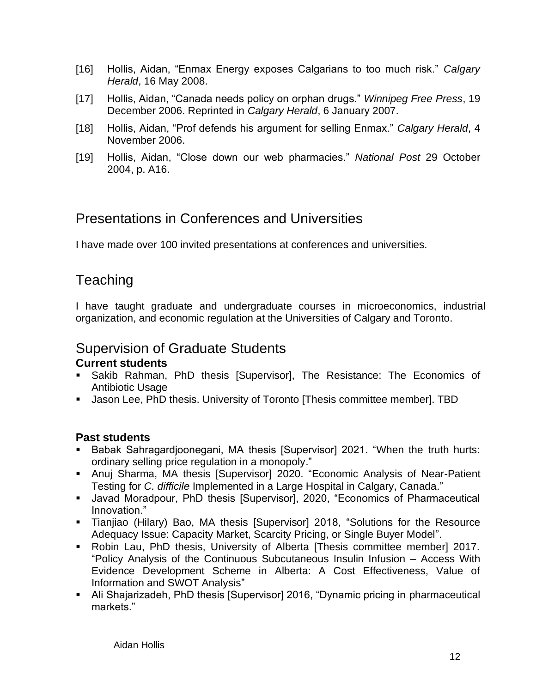- [16] Hollis, Aidan, "Enmax Energy exposes Calgarians to too much risk." *Calgary Herald*, 16 May 2008.
- [17] Hollis, Aidan, "Canada needs policy on orphan drugs." *Winnipeg Free Press*, 19 December 2006. Reprinted in *Calgary Herald*, 6 January 2007.
- [18] Hollis, Aidan, "Prof defends his argument for selling Enmax." *Calgary Herald*, 4 November 2006.
- [19] Hollis, Aidan, "Close down our web pharmacies." *National Post* 29 October 2004, p. A16.

## Presentations in Conferences and Universities

I have made over 100 invited presentations at conferences and universities.

## **Teaching**

I have taught graduate and undergraduate courses in microeconomics, industrial organization, and economic regulation at the Universities of Calgary and Toronto.

### Supervision of Graduate Students

#### **Current students**

- Sakib Rahman, PhD thesis [Supervisor], The Resistance: The Economics of Antibiotic Usage
- Jason Lee, PhD thesis. University of Toronto [Thesis committee member]. TBD

#### **Past students**

- Babak Sahragardjoonegani, MA thesis [Supervisor] 2021. "When the truth hurts: ordinary selling price regulation in a monopoly."
- **■** Anuj Sharma, MA thesis [Supervisor] 2020. "Economic Analysis of Near-Patient Testing for *C. difficile* Implemented in a Large Hospital in Calgary, Canada."
- Javad Moradpour, PhD thesis [Supervisor], 2020, "Economics of Pharmaceutical Innovation."
- Tianjiao (Hilary) Bao, MA thesis [Supervisor] 2018, "Solutions for the Resource Adequacy Issue: Capacity Market, Scarcity Pricing, or Single Buyer Model".
- Robin Lau, PhD thesis, University of Alberta [Thesis committee member] 2017. "Policy Analysis of the Continuous Subcutaneous Insulin Infusion – Access With Evidence Development Scheme in Alberta: A Cost Effectiveness, Value of Information and SWOT Analysis"
- Ali Shajarizadeh, PhD thesis [Supervisor] 2016, "Dynamic pricing in pharmaceutical markets."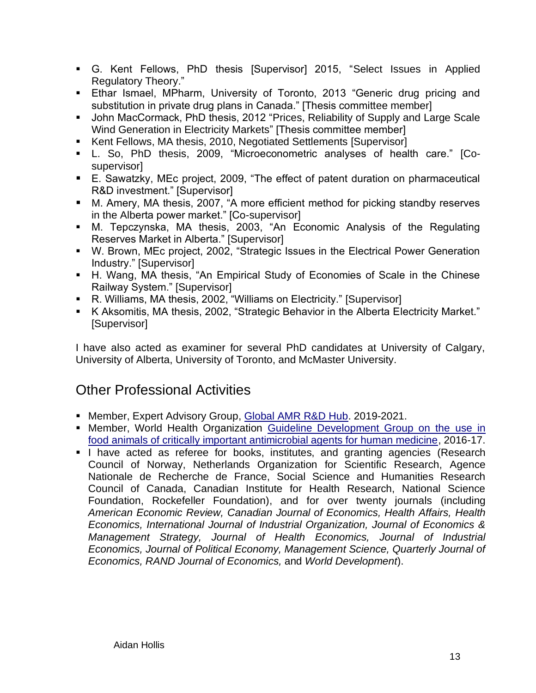- G. Kent Fellows, PhD thesis [Supervisor] 2015, "Select Issues in Applied Regulatory Theory."
- **Ethar Ismael, MPharm, University of Toronto, 2013 "Generic drug pricing and** substitution in private drug plans in Canada." [Thesis committee member]
- John MacCormack, PhD thesis, 2012 "Prices, Reliability of Supply and Large Scale Wind Generation in Electricity Markets" [Thesis committee member]
- Kent Fellows, MA thesis, 2010, Negotiated Settlements [Supervisor]
- L. So, PhD thesis, 2009, "Microeconometric analyses of health care." [Cosupervisor]
- E. Sawatzky, MEc project, 2009, "The effect of patent duration on pharmaceutical R&D investment." [Supervisor]
- M. Amery, MA thesis, 2007, "A more efficient method for picking standby reserves in the Alberta power market." [Co-supervisor]
- M. Tepczynska, MA thesis, 2003, "An Economic Analysis of the Regulating Reserves Market in Alberta." [Supervisor]
- W. Brown, MEc project, 2002, "Strategic Issues in the Electrical Power Generation Industry." [Supervisor]
- H. Wang, MA thesis, "An Empirical Study of Economies of Scale in the Chinese Railway System." [Supervisor]
- R. Williams, MA thesis, 2002, "Williams on Electricity." [Supervisor]
- K Aksomitis, MA thesis, 2002, "Strategic Behavior in the Alberta Electricity Market." [Supervisor]

I have also acted as examiner for several PhD candidates at University of Calgary, University of Alberta, University of Toronto, and McMaster University.

# Other Professional Activities

- Member, Expert Advisory Group, [Global AMR R&D Hub.](https://www.gesundheitsforschung-bmbf.de/en/GlobalAMRHub.php) 2019-2021.
- **Member, World Health Organization Guideline Development Group on the use in** [food animals of critically important antimicrobial agents for human medicine,](http://who.int/foodsafety/areas_work/antimicrobial-resistance/cia_guidelines/en/) 2016-17.
- I have acted as referee for books, institutes, and granting agencies (Research Council of Norway, Netherlands Organization for Scientific Research, Agence Nationale de Recherche de France, Social Science and Humanities Research Council of Canada, Canadian Institute for Health Research, National Science Foundation, Rockefeller Foundation), and for over twenty journals (including *American Economic Review, Canadian Journal of Economics, Health Affairs, Health Economics, International Journal of Industrial Organization, Journal of Economics & Management Strategy, Journal of Health Economics, Journal of Industrial Economics, Journal of Political Economy, Management Science, Quarterly Journal of Economics, RAND Journal of Economics,* and *World Development*).